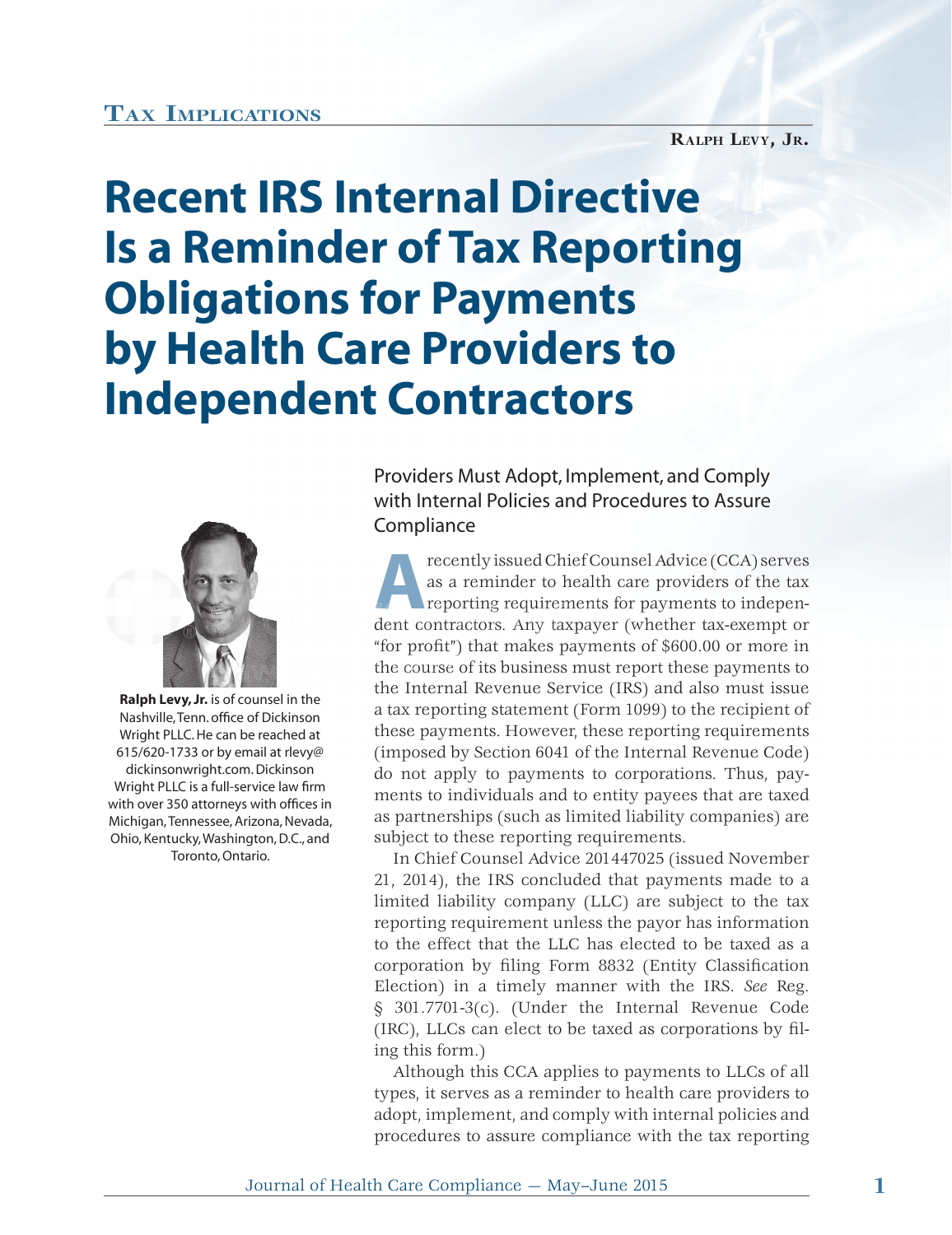## **TAX IMPLICATIONS**

**RALPH LEVY, JR.**

## **Recent IRS Internal Directive Is a Reminder of Tax Reporting Obligations for Payments by Health Care Providers to Independent Contractors**



**Ralph Levy, Jr.** is of counsel in the Nashville, Tenn. office of Dickinson Wright PLLC. He can be reached at 615/620-1733 or by email at rlevy@ dickinsonwright.com. Dickinson Wright PLLC is a full-service law firm with over 350 attorneys with offices in Michigan, Tennessee, Arizona, Nevada, Ohio, Kentucky, Washington, D.C., and Toronto, Ontario.

Providers Must Adopt, Implement, and Comply with Internal Policies and Procedures to Assure **Compliance** 

**A B A Property issued Chief Counsel Advice (CCA) serves**<br>as a reminder to health care providers of the tax<br>reporting requirements for payments to independent contractors. Any taxnayer (whether tax-exempt or as a reminder to health care providers of the tax reporting requirements for payments to independent contractors. Any taxpayer (whether tax-exempt or "for profit") that makes payments of  $$600.00$  or more in the course of its business must report these payments to the Internal Revenue Service (IRS) and also must issue h a tax reporting statement (Form 1099) to the recipient of these payments. However, these reporting requirements (imposed by Section 6041 of the Internal Revenue Code) do not apply to payments to corporations. Thus, payments to individuals and to entity payees that are taxed as partnerships (such as limited liability companies) are subject to these reporting requirements.

In Chief Counsel Advice 201447025 (issued November 21, 2014), the IRS concluded that payments made to a limited liability company (LLC) are subject to the tax reporting requirement unless the payor has information to the effect that the LLC has elected to be taxed as a corporation by filing Form 8832 (Entity Classification Election) in a timely manner with the IRS. *See* Reg. § 301.7701-3(c). (Under the Internal Revenue Code  $(IRC)$ , LLCs can elect to be taxed as corporations by filing this form.)

Although this CCA applies to payments to LLCs of all types, it serves as a reminder to health care providers to adopt, implement, and comply with internal policies and procedures to assure compliance with the tax reporting